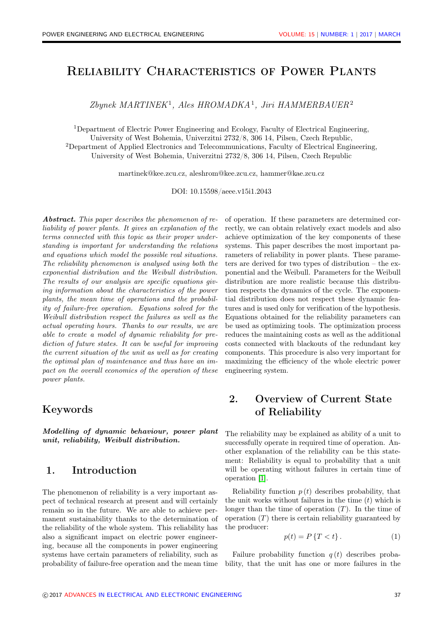# Reliability Characteristics of Power Plants

Zbynek MARTINEK<sup>1</sup>, Ales HROMADKA<sup>1</sup>, Jiri HAMMERBAUER<sup>2</sup>

<sup>1</sup>Department of Electric Power Engineering and Ecology, Faculty of Electrical Engineering, University of West Bohemia, Univerzitni 2732/8, 306 14, Pilsen, Czech Republic, <sup>2</sup>Department of Applied Electronics and Telecommunications, Faculty of Electrical Engineering, University of West Bohemia, Univerzitni 2732/8, 306 14, Pilsen, Czech Republic

martinek@kee.zcu.cz, aleshrom@kee.zcu.cz, hammer@kae.zcu.cz

DOI: 10.15598/aeee.v15i1.2043

Abstract. This paper describes the phenomenon of reliability of power plants. It gives an explanation of the terms connected with this topic as their proper understanding is important for understanding the relations and equations which model the possible real situations. The reliability phenomenon is analysed using both the exponential distribution and the Weibull distribution. The results of our analysis are specific equations giving information about the characteristics of the power plants, the mean time of operations and the probability of failure-free operation. Equations solved for the Weibull distribution respect the failures as well as the actual operating hours. Thanks to our results, we are able to create a model of dynamic reliability for prediction of future states. It can be useful for improving the current situation of the unit as well as for creating the optimal plan of maintenance and thus have an impact on the overall economics of the operation of these power plants.

### Keywords

Modelling of dynamic behaviour, power plant unit, reliability, Weibull distribution.

# 1. Introduction

The phenomenon of reliability is a very important aspect of technical research at present and will certainly remain so in the future. We are able to achieve permanent sustainability thanks to the determination of the reliability of the whole system. This reliability has also a significant impact on electric power engineering, because all the components in power engineering systems have certain parameters of reliability, such as probability of failure-free operation and the mean time of operation. If these parameters are determined correctly, we can obtain relatively exact models and also achieve optimization of the key components of these systems. This paper describes the most important parameters of reliability in power plants. These parameters are derived for two types of distribution – the exponential and the Weibull. Parameters for the Weibull distribution are more realistic because this distribution respects the dynamics of the cycle. The exponential distribution does not respect these dynamic features and is used only for verification of the hypothesis. Equations obtained for the reliability parameters can be used as optimizing tools. The optimization process reduces the maintaining costs as well as the additional costs connected with blackouts of the redundant key components. This procedure is also very important for maximizing the efficiency of the whole electric power engineering system.

# 2. Overview of Current State of Reliability

The reliability may be explained as ability of a unit to successfully operate in required time of operation. Another explanation of the reliability can be this statement: Reliability is equal to probability that a unit will be operating without failures in certain time of operation [\[1\]](#page-7-0).

Reliability function  $p(t)$  describes probability, that the unit works without failures in the time  $(t)$  which is longer than the time of operation  $(T)$ . In the time of operation  $(T)$  there is certain reliability guaranteed by the producer:

$$
p(t) = P\left\{T < t\right\}.\tag{1}
$$

Failure probability function  $q(t)$  describes probability, that the unit has one or more failures in the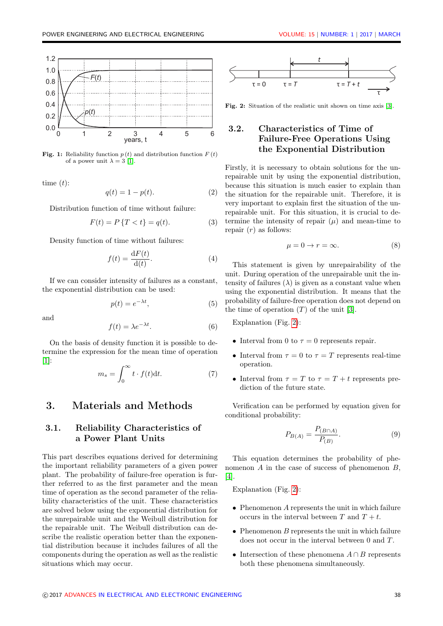

**Fig. 1:** Reliability function  $p(t)$  and distribution function  $F(t)$ of a power unit  $\lambda = 3$  [\[1\]](#page-7-0).

time  $(t)$ :

$$
q(t) = 1 - p(t). \tag{2}
$$

Distribution function of time without failure:

$$
F(t) = P\{T < t\} = q(t). \tag{3}
$$

Density function of time without failures:

$$
f(t) = \frac{\mathrm{d}F(t)}{\mathrm{d}(t)}.\tag{4}
$$

If we can consider intensity of failures as a constant, the exponential distribution can be used:

$$
p(t) = e^{-\lambda t},\tag{5}
$$

and

$$
f(t) = \lambda e^{-\lambda t}.
$$
 (6)

On the basis of density function it is possible to determine the expression for the mean time of operation [\[1\]](#page-7-0):

$$
m_s = \int_0^\infty t \cdot f(t) \mathrm{d}t. \tag{7}
$$

# 3. Materials and Methods

#### 3.1. Reliability Characteristics of a Power Plant Units

This part describes equations derived for determining the important reliability parameters of a given power plant. The probability of failure-free operation is further referred to as the first parameter and the mean time of operation as the second parameter of the reliability characteristics of the unit. These characteristics are solved below using the exponential distribution for the unrepairable unit and the Weibull distribution for the repairable unit. The Weibull distribution can describe the realistic operation better than the exponential distribution because it includes failures of all the components during the operation as well as the realistic situations which may occur.

<span id="page-1-0"></span>

Fig. 2: Situation of the realistic unit shown on time axis [\[3\]](#page-7-1).

# 3.2. Characteristics of Time of Failure-Free Operations Using the Exponential Distribution

Firstly, it is necessary to obtain solutions for the unrepairable unit by using the exponential distribution, because this situation is much easier to explain than the situation for the repairable unit. Therefore, it is very important to explain first the situation of the unrepairable unit. For this situation, it is crucial to determine the intensity of repair  $(\mu)$  and mean-time to repair  $(r)$  as follows:

<span id="page-1-1"></span>
$$
\mu = 0 \to r = \infty. \tag{8}
$$

This statement is given by unrepairability of the unit. During operation of the unrepairable unit the intensity of failures  $(\lambda)$  is given as a constant value when using the exponential distribution. It means that the probability of failure-free operation does not depend on the time of operation  $(T)$  of the unit [\[3\]](#page-7-1).

Explanation (Fig. [2\)](#page-1-0):

- Interval from 0 to  $\tau = 0$  represents repair.
- Interval from  $\tau = 0$  to  $\tau = T$  represents real-time operation.
- Interval from  $\tau = T$  to  $\tau = T + t$  represents prediction of the future state.

Verification can be performed by equation given for conditional probability:

$$
P_{B(A)} = \frac{P_{(B \cap A)}}{P_{(B)}}.
$$
\n(9)

This equation determines the probability of phenomenon  $A$  in the case of success of phenomenon  $B$ , [\[4\]](#page-7-2).

Explanation (Fig. [2\)](#page-1-0):

- $\bullet$  Phenomenon A represents the unit in which failure occurs in the interval between T and  $T + t$ .
- $\bullet$  Phenomenon  $B$  represents the unit in which failure does not occur in the interval between 0 and T.
- Intersection of these phenomena  $A \cap B$  represents both these phenomena simultaneously.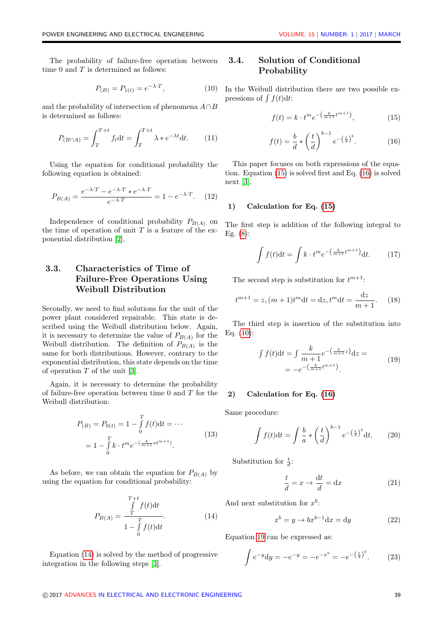The probability of failure-free operation between time  $0$  and  $T$  is determined as follows:

<span id="page-2-3"></span>
$$
P_{(B)} = P_{1(t)} = e^{-\lambda \cdot T}, \tag{10}
$$

and the probability of intersection of phenomena  $A \cap B$ is determined as follows:

$$
P_{(B \cap A)} = \int_{T}^{T+t} f_t dt = \int_{T}^{T+t} \lambda * e^{-\lambda t} dt. \qquad (11)
$$

Using the equation for conditional probability the following equation is obtained:

<span id="page-2-5"></span>
$$
P_{B(A)} = \frac{e^{-\lambda \cdot T} - e^{-\lambda \cdot T} * e^{-\lambda \cdot T}}{e^{-\lambda \cdot T}} = 1 - e^{-\lambda \cdot T}.
$$
 (12)

Independence of conditional probability  $P_{B(A)}$  on the time of operation of unit  $T$  is a feature of the exponential distribution [\[2\]](#page-7-3).

### 3.3. Characteristics of Time of Failure-Free Operations Using Weibull Distribution

Secondly, we need to find solutions for the unit of the power plant considered repairable. This state is described using the Weibull distribution below. Again, it is necessary to determine the value of  $P_{B(A)}$  for the Weibull distribution. The definition of  $P_{B(A)}$  is the same for both distributions. However, contrary to the exponential distribution, this state depends on the time of operation T of the unit [\[3\]](#page-7-1).

Again, it is necessary to determine the probability of failure-free operation between time 0 and T for the Weibull distribution:

$$
P_{(B)} = P_{0(t)} = 1 - \int_{0}^{T} f(t)dt = \cdots
$$
  
= 
$$
1 - \int_{0}^{T} k \cdot t^{m} e^{-\left(\frac{k}{m+1} * t^{m+1}\right)}.
$$
 (13)

As before, we can obtain the equation for  $P_{B(A)}$  by using the equation for conditional probability:

<span id="page-2-0"></span>
$$
P_{B(A)} = \frac{\int\limits_{T}^{T+t} f(t)dt}{1 - \int\limits_{0}^{T} f(t)dt}.
$$
 (14)

Equation [\(14\)](#page-2-0) is solved by the method of progressive integration in the following steps [\[3\]](#page-7-1).

#### 3.4. Solution of Conditional Probability

In the Weibull distribution there are two possible expressions of  $\int f(t) dt$ :

<span id="page-2-1"></span>
$$
f(t) = k \cdot t^m e^{-\left(\frac{k}{m+1}t^{m+1}\right)},\tag{15}
$$

<span id="page-2-2"></span>
$$
f(t) = \frac{b}{d} * \left(\frac{t}{d}\right)^{b-1} e^{-\left(\frac{t}{d}\right)^b}.
$$
 (16)

This paper focuses on both expressions of the equation. Equation [\(15\)](#page-2-1) is solved first and Eq. [\(16\)](#page-2-2) is solved next [\[3\]](#page-7-1).

#### 1) Calculation for Eq. [\(15\)](#page-2-1)

The first step is addition of the following integral to Eg. [\(8\)](#page-1-1):

$$
\int f(t)dt = \int k \cdot t^m e^{-\left(\frac{k}{m+1}t^{m+1}\right)} dt. \tag{17}
$$

The second step is substitution for  $t^{m+1}$ :

$$
t^{m+1} = z, (m+1)t^{m}dt = dz, t^{m}dt = \frac{dz}{m+1}.
$$
 (18)

The third step is insertion of the substitution into Eq. [\(10\)](#page-2-3):

<span id="page-2-4"></span>
$$
\int f(t)dt = \int \frac{k}{m+1} e^{-\left(\frac{k}{m+1}z\right)} dz =
$$
\n
$$
= -e^{-\left(\frac{k}{m+1}t^{m+1}\right)}.
$$
\n(19)

#### 2) Calculation for Eq. [\(16\)](#page-2-2)

Same procedure:

<span id="page-2-6"></span>
$$
\int f(t)dt = \int \frac{b}{a} * \left(\frac{t}{d}\right)^{b-1} e^{-\left(\frac{t}{d}\right)^b} dt.
$$
 (20)

Substitution for  $\frac{t}{d}$ :

$$
\frac{t}{d} = x \to \frac{dt}{d} = dx \tag{21}
$$

And next substitution for  $x^b$ :

$$
x^{b} = y \rightarrow bx^{b-1}dx = dy \qquad (22)
$$

Equation [19](#page-2-4) can be expressed as:

$$
\int e^{-y} dy = -e^{-y} = -e^{-x^{b}} = -e^{-\left(\frac{t}{d}\right)^{b}}.
$$
 (23)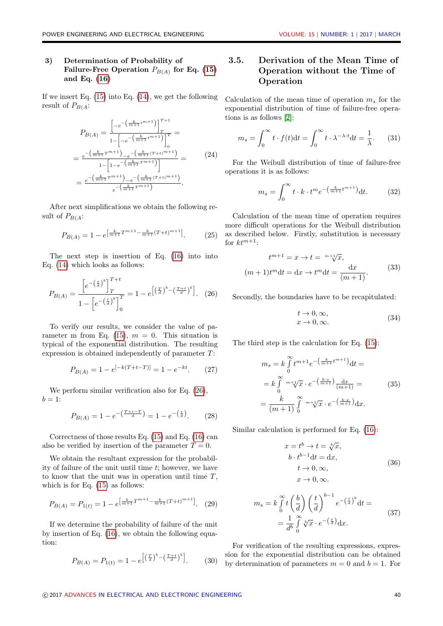#### 3) Determination of Probability of Failure-Free Operation  $P_{B(A)}$  for Eq. [\(15\)](#page-2-1) and Eq. [\(16\)](#page-2-2)

If we insert Eq.  $(15)$  into Eq.  $(14)$ , we get the following result of  $P_{B(A)}$ :

$$
P_{B(A)} = \frac{\left[ -e^{-\left(\frac{k}{m+1}t^{m+1}\right)} \right]_T^{T+1}}{1 - \left[ -e^{-\left(\frac{k}{m+1}t^{m+1}\right)} \right]_0^{T}} =
$$
\n
$$
= \frac{e^{-\left(\frac{k}{m+1}t^{m+1}\right)} - e^{-\left(\frac{k}{m+1}(T+t)^{m+1}\right)}}{1 - \left[ 1 - e^{-\left(\frac{k}{m+1}T^{m+1}\right)} \right]} =
$$
\n
$$
= \frac{e^{-\left(\frac{k}{m+1}T^{m+1}\right)} - e^{-\left(\frac{k}{m+1}(T+t)^{m+1}\right)}}{e^{-\left(\frac{k}{m+1}T^{m+1}\right)}}.
$$
\n(24)

After next simplifications we obtain the following result of  $P_{B(A)}$ :

<span id="page-3-1"></span>
$$
P_{B(A)} = 1 - e^{\left[\frac{k}{m+1}T^{m+1} - \frac{k}{m+1}(T+t)^{m+1}\right]}.
$$
 (25)

The next step is insertion of Eq. [\(16\)](#page-2-2) into into Eq. [\(14\)](#page-2-0) which looks as follows:

<span id="page-3-0"></span>
$$
P_{B(A)} = \frac{\left[e^{-\left(\frac{t}{d}\right)^b}\right]_T^{T+t}}{1 - \left[e^{-\left(\frac{t}{d}\right)^b}\right]_0^T} = 1 - e^{\left[\left(\frac{T}{d}\right)^b - \left(\frac{T+t}{d}\right)^b\right]}.
$$
 (26)

To verify our results, we consider the value of pa-rameter m from Eq. [\(15\)](#page-2-1),  $m = 0$ . This situation is typical of the exponential distribution. The resulting expression is obtained independently of parameter T:

$$
P_{B(A)} = 1 - e^{[-k(T + t - T)]} = 1 - e^{-kt}.
$$
 (27)

We perform similar verification also for Eq.  $(26)$ ,  $b=1$ :

$$
P_{B(A)} = 1 - e^{-\left(\frac{T + t - T}{d}\right)} = 1 - e^{-\left(\frac{t}{d}\right)}.
$$
 (28)

Correctness of those results Eq. [\(15\)](#page-2-1) and Eq. [\(16\)](#page-2-2) can also be verified by insertion of the parameter  $T = 0$ .

We obtain the resultant expression for the probability of failure of the unit until time t; however, we have to know that the unit was in operation until time  $T$ , which is for Eq. [\(15\)](#page-2-1) as follows:

<span id="page-3-3"></span>
$$
P_{B(A)} = P_{1(t)} = 1 - e^{\left[\frac{k}{m+1}T^{m+1} - \frac{k}{m+1}(T+t)^{m+1}\right]}.
$$
 (29)

If we determine the probability of failure of the unit by insertion of Eq. [\(16\)](#page-2-2), we obtain the following equation:

<span id="page-3-2"></span>
$$
P_{B(A)} = P_{1(t)} = 1 - e^{\left[\left(\frac{T}{d}\right)^b - \left(\frac{T+t}{d}\right)^b\right]}.
$$
 (30)

# 3.5. Derivation of the Mean Time of Operation without the Time of Operation

Calculation of the mean time of operation  $m_s$  for the exponential distribution of time of failure-free operations is as follows [\[2\]](#page-7-3):

$$
m_s = \int_0^\infty t \cdot f(t) dt = \int_0^\infty t \cdot \lambda^{-\lambda \cdot t} dt = \frac{1}{\lambda}.
$$
 (31)

For the Weibull distribution of time of failure-free operations it is as follows:

$$
m_s = \int_0^\infty t \cdot k \cdot t^m e^{-\left(\frac{k}{m+1}t^{m+1}\right)} dt. \tag{32}
$$

Calculation of the mean time of operation requires more difficult operations for the Weibull distribution as described below. Firstly, substitution is necessary for  $k t^{m+1}$ :

$$
t^{m+1} = x \to t = {}^{m+\sqrt{1}{x}},
$$

$$
(m+1)t^{m}dt = dx \to t^{m}dt = \frac{dx}{(m+1)}.
$$
(33)

Secondly, the boundaries have to be recapitulated:

$$
t \to 0, \infty, \nx \to 0, \infty.
$$
\n(34)

The third step is the calculation for Eq. [\(15\)](#page-2-1):

<span id="page-3-4"></span>
$$
m_s = k \int_0^{\infty} t^{m+1} e^{-\left(\frac{k}{m+1}t^{m+1}\right)} dt =
$$
  
=  $k \int_0^{\infty} {^{m+1}} \sqrt{x} \cdot e^{-\left(\frac{k \cdot x}{m+1}\right)} \frac{dx}{(m+1)} =$  (35)  
=  $\frac{k}{(m+1)} \int_0^{\infty} {^{m+1}} \sqrt{x} \cdot e^{-\left(\frac{k \cdot x}{m+1}\right)} dx.$ 

Similar calculation is performed for Eq. [\(16\)](#page-2-2):

$$
x = t^{b} \to t = \sqrt[b]{x},
$$
  
\n
$$
b \cdot t^{b-1} dt = dx,
$$
  
\n
$$
t \to 0, \infty,
$$
  
\n
$$
x \to 0, \infty.
$$
  
\n(36)

$$
m_s = k \int_0^\infty t \left(\frac{b}{d}\right) \left(\frac{t}{d}\right)^{b-1} e^{-\left(\frac{t}{d}\right)^b} dt =
$$
  
= 
$$
\frac{1}{d^b} \int_0^\infty \sqrt[b]{x} \cdot e^{-\left(\frac{x}{d}\right)} dx.
$$
 (37)

For verification of the resulting expressions, expression for the exponential distribution can be obtained by determination of parameters  $m = 0$  and  $b = 1$ . For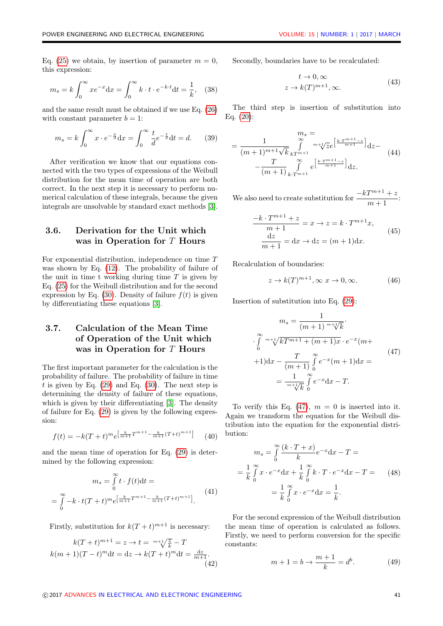Eq. [\(25\)](#page-3-1) we obtain, by insertion of parameter  $m = 0$ , this expression:

<span id="page-4-3"></span>
$$
m_s = k \int_0^\infty x e^{-x} dx = \int_0^\infty k \cdot t \cdot e^{-k \cdot t} dt = \frac{1}{k},
$$
 (38)

and the same result must be obtained if we use Eq. [\(26\)](#page-3-0) with constant parameter  $b = 1$ :

$$
m_s = k \int_0^\infty x \cdot e^{-\frac{x}{d}} dx = \int_0^\infty \frac{t}{d} e^{-\frac{t}{d}} dt = d.
$$
 (39)

After verification we know that our equations connected with the two types of expressions of the Weibull distribution for the mean time of operation are both correct. In the next step it is necessary to perform numerical calculation of these integrals, because the given integrals are unsolvable by standard exact methods [\[3\]](#page-7-1).

#### 3.6. Derivation for the Unit which was in Operation for T Hours

For exponential distribution, independence on time T was shown by Eq. [\(12\)](#page-2-5). The probability of failure of the unit in time t working during time  $T$  is given by Eq. [\(25\)](#page-3-1) for the Weibull distribution and for the second expression by Eq. [\(30\)](#page-3-2). Density of failure  $f(t)$  is given by differentiating these equations [\[3\]](#page-7-1).

#### 3.7. Calculation of the Mean Time of Operation of the Unit which was in Operation for T Hours

The first important parameter for the calculation is the probability of failure. The probability of failure in time t is given by Eq.  $(29)$  and Eq.  $(30)$ . The next step is determining the density of failure of these equations, which is given by their differentiating [\[3\]](#page-7-1). The density of failure for Eq. [\(29\)](#page-3-3) is given by the following expression:

$$
f(t) = -k(T+t)^m e^{\left[\frac{k}{m+1}T^{m+1} - \frac{k}{m+1}(T+t)^{m+1}\right]} \tag{40}
$$

and the mean time of operation for Eq. [\(29\)](#page-3-3) is determined by the following expression:

<span id="page-4-1"></span>
$$
m_s = \int_0^\infty t \cdot f(t) dt =
$$
  
= 
$$
\int_0^\infty -k \cdot t (T+t)^m e^{\left[\frac{k}{m+1}T^{m+1} - \frac{k}{m+1}(T+t)^{m+1}\right]}.
$$
 (41)

Firstly, substitution for  $k(T + t)^{m+1}$  is necessary:

$$
k(T+t)^{m+1} = z \to t = {}^{m+\sqrt{\frac{z}{k}}} - T
$$
  

$$
k(m+1)(T-t)^m dt = dz \to k(T+t)^m dt = \frac{dz}{m+1}.
$$
  
(42)

Secondly, boundaries have to be recalculated:

$$
t \to 0, \infty
$$
  

$$
z \to k(T)^{m+1}, \infty.
$$
 (43)

The third step is insertion of substitution into Eq. [\(20\)](#page-2-6):

$$
= \frac{1}{(m+1)^{m+1}\sqrt{k}} \int_{kT^{m+1}}^{\infty} {}^{m+\sqrt{z}} \mathcal{E}^{\left[\frac{k \cdot T^{m+1} - z}{m+1}\right]} \mathrm{d}z - \frac{T}{(m+1)} \int_{k \cdot T^{m+1}}^{\infty} e^{\left[\frac{k \cdot T^{m+1} - z}{m+1}\right]} \mathrm{d}z.
$$
 (44)

We also need to create substitution for  $\frac{-kT^{m+1}+z}{m+1}$ :

$$
\frac{-k \cdot T^{m+1} + z}{m+1} = x \to z = k \cdot T^{m+1}x,
$$
  

$$
\frac{dz}{m+1} = dx \to dz = (m+1)dx.
$$
 (45)

Recalculation of boundaries:

$$
z \to k(T)^{m+1}, \infty \ x \to 0, \infty. \tag{46}
$$

Insertion of substitution into Eq. [\(29\)](#page-3-3):

<span id="page-4-0"></span>
$$
m_s = \frac{1}{(m+1)^{m+1}\sqrt{k}}.
$$
  
\n
$$
\int_{0}^{\infty} {}^{m+1}\sqrt{kT^{m+1} + (m+1)x} \cdot e^{-x} (m+1) dx =
$$
  
\n
$$
+1)dx - \frac{T}{(m+1)} \int_{0}^{\infty} e^{-x} (m+1) dx =
$$
  
\n
$$
= \frac{1}{m+1}\int_{0}^{\infty} e^{-x} dx - T.
$$
  
\n(47)

To verify this Eq.  $(47)$ ,  $m = 0$  is inserted into it. Again we transform the equation for the Weibull distribution into the equation for the exponential distribution:

<span id="page-4-2"></span>
$$
m_s = \int_0^\infty \frac{(k \cdot T + x)}{k} e^{-x} dx - T =
$$
  
=  $\frac{1}{k} \int_0^\infty x \cdot e^{-x} dx + \frac{1}{k} \int_0^\infty k \cdot T \cdot e^{-x} dx - T =$  (48)  
=  $\frac{1}{k} \int_0^\infty x \cdot e^{-x} dx = \frac{1}{k}.$ 

For the second expression of the Weibull distribution the mean time of operation is calculated as follows. Firstly, we need to perform conversion for the specific constants:

$$
m + 1 = b \to \frac{m+1}{k} = d^b.
$$
 (49)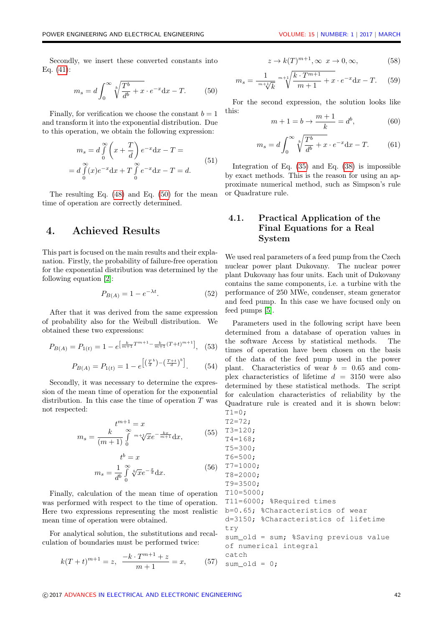Secondly, we insert these converted constants into Eq. [\(41\)](#page-4-1):

<span id="page-5-0"></span>
$$
m_s = d \int_0^\infty \sqrt[b]{\frac{T^b}{d^b} + x} \cdot e^{-x} dx - T.
$$
 (50)

Finally, for verification we choose the constant  $b = 1$ and transform it into the exponential distribution. Due to this operation, we obtain the following expression:

$$
m_s = d \int_0^\infty \left( x + \frac{T}{d} \right) e^{-x} dx - T =
$$
  
=  $d \int_0^\infty (x) e^{-x} dx + T \int_0^\infty e^{-x} dx - T = d.$  (51)

The resulting Eq. [\(48\)](#page-4-2) and Eq. [\(50\)](#page-5-0) for the mean time of operation are correctly determined.

#### 4. Achieved Results

This part is focused on the main results and their explanation. Firstly, the probability of failure-free operation for the exponential distribution was determined by the following equation [\[2\]](#page-7-3):

$$
P_{B(A)} = 1 - e^{-\lambda t}.\tag{52}
$$

After that it was derived from the same expression of probability also for the Weibull distribution. We obtained these two expressions:

$$
P_{B(A)} = P_{1(t)} = 1 - e^{\left[\frac{k}{m+1}T^{m+1} - \frac{k}{m+1}(T+t)^{m+1}\right]},
$$
 (53)

$$
P_{B(A)} = P_{1(t)} = 1 - e^{\left[ \left( \frac{T}{d} \right)^b - \left( \frac{T+t}{d} \right)^b \right]}.
$$
 (54)

Secondly, it was necessary to determine the expression of the mean time of operation for the exponential distribution. In this case the time of operation  $T$  was not respected:

$$
t^{m+1} = x
$$
  

$$
m_s = \frac{k}{(m+1)} \int_{0}^{\infty} {}^{m+\sqrt{1}} \sqrt{x} e^{-\frac{kx}{m+1}} dx,
$$
 (55)

$$
t^{b} = x
$$
  

$$
m_{s} = \frac{1}{d^{b}} \int_{0}^{\infty} \sqrt[b]{x} e^{-\frac{x}{d}} dx.
$$
 (56)

Finally, calculation of the mean time of operation was performed with respect to the time of operation. Here two expressions representing the most realistic mean time of operation were obtained.

For analytical solution, the substitutions and recalculation of boundaries must be performed twice:

<span id="page-5-1"></span>
$$
k(T+t)^{m+1} = z, \ \frac{-k \cdot T^{m+1} + z}{m+1} = x, \qquad (57)
$$

$$
z \to k(T)^{m+1}, \infty \ x \to 0, \infty,
$$
 (58)

$$
m_s = \frac{1}{m + \sqrt[k]{k}} \sqrt[m+1]{\frac{k \cdot T^{m+1}}{m+1} + x} \cdot e^{-x} dx - T.
$$
 (59)

For the second expression, the solution looks like this:  $m + 1$ 

$$
m + 1 = b \to \frac{m + 1}{k} = d^b,
$$
 (60)

$$
m_s = d \int_0^\infty \sqrt[b]{\frac{T^b}{d^b} + x} \cdot e^{-x} dx - T.
$$
 (61)

Integration of Eq.  $(35)$  and Eq.  $(38)$  is impossible by exact methods. This is the reason for using an approximate numerical method, such as Simpson's rule or Quadrature rule.

### 4.1. Practical Application of the Final Equations for a Real System

We used real parameters of a feed pump from the Czech nuclear power plant Dukovany. The nuclear power plant Dukovany has four units. Each unit of Dukovany contains the same components, i.e. a turbine with the performance of 250 MWe, condenser, steam generator and feed pump. In this case we have focused only on feed pumps [\[5\]](#page-7-4).

Parameters used in the following script have been determined from a database of operation values in the software Access by statistical methods. The times of operation have been chosen on the basis of the data of the feed pump used in the power plant. Characteristics of wear  $b = 0.65$  and complex characteristics of lifetime  $d = 3150$  were also determined by these statistical methods. The script for calculation characteristics of reliability by the Quadrature rule is created and it is shown below:  $T1=0;$ 

 $T2=72;$ T3=120; T4=168; T5=300; T6=500; T7=1000; T8=2000; T9=3500; T10=5000; T11=6000; %Required times b=0.65; %Characteristics of wear d=3150; %Characteristics of lifetime try sum old = sum; %Saving previous value of numerical integral catch  $sum\_old = 0;$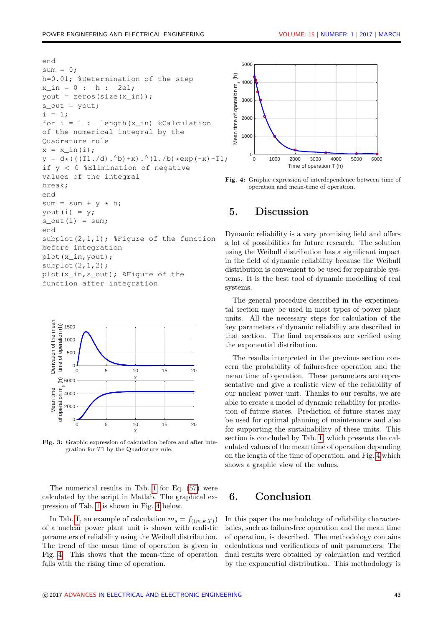```
end
sum = 0;h=0.01; %Determination of the step
x \text{ in } = 0 : h : 2e1;
yout = zeros(size(x in));
s_out = yout;
i = 1;for i = 1 : length (x_in) %Calculation
of the numerical integral by the
Quadrature rule
x = x_{ in}(i);y = d * ((T1./d).^b) + x).^(1./b) * exp(-x) - T1;if y < 0 %Elimination of negative
values of the integral
break;
end
sum = sum + y * h;yout (i) = y;s out(i) = sum;end
subplot(2,1,1); \frac{1}{2} figure of the function
before integration
plot(x_in,yout);
subplot(2,1,2);
plot(x_in,s_out); %Figure of the
function after integration
```


Fig. 3: Graphic expression of calculation before and after integration for T1 by the Quadrature rule.

The numerical results in Tab. [1](#page-7-5) for Eq. [\(57\)](#page-5-1) were calculated by the script in Matlab. The graphical expression of Tab. [1](#page-7-5) is shown in Fig. [4](#page-6-0) below.

In Tab. [1,](#page-7-5) an example of calculation  $m_s = f_{((m,k,T))}$ of a nuclear power plant unit is shown with realistic parameters of reliability using the Weibull distribution. The trend of the mean time of operation is given in Fig. [4.](#page-6-0) This shows that the mean-time of operation falls with the rising time of operation.

<span id="page-6-0"></span>

Fig. 4: Graphic expression of interdependence between time of operation and mean-time of operation.

## 5. Discussion

Dynamic reliability is a very promising field and offers a lot of possibilities for future research. The solution using the Weibull distribution has a significant impact in the field of dynamic reliability because the Weibull distribution is convenient to be used for repairable systems. It is the best tool of dynamic modelling of real systems.

The general procedure described in the experimental section may be used in most types of power plant units. All the necessary steps for calculation of the key parameters of dynamic reliability are described in that section. The final expressions are verified using the exponential distribution.

The results interpreted in the previous section concern the probability of failure-free operation and the mean time of operation. These parameters are representative and give a realistic view of the reliability of our nuclear power unit. Thanks to our results, we are able to create a model of dynamic reliability for prediction of future states. Prediction of future states may be used for optimal planning of maintenance and also for supporting the sustainability of these units. This section is concluded by Tab. [1,](#page-7-5) which presents the calculated values of the mean time of operation depending on the length of the time of operation, and Fig. [4](#page-6-0) which shows a graphic view of the values.

# 6. Conclusion

In this paper the methodology of reliability characteristics, such as failure-free operation and the mean time of operation, is described. The methodology contains calculations and verifications of unit parameters. The final results were obtained by calculation and verified by the exponential distribution. This methodology is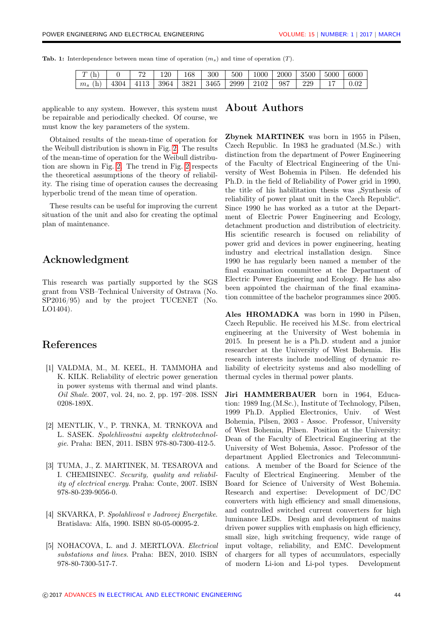<span id="page-7-5"></span>

|  | <b>Tab. 1:</b> Interdependence between mean time of operation $(m_s)$ and time of operation $(T)$ . |  |  |  |  |  |  |  |  |  |
|--|-----------------------------------------------------------------------------------------------------|--|--|--|--|--|--|--|--|--|
|--|-----------------------------------------------------------------------------------------------------|--|--|--|--|--|--|--|--|--|

| T<br>(h)<br>T | 72                                                   | 120 | 168 | 300 | 500 | 1000 | 2000 | 3500 | 5000 | 6000 |
|---------------|------------------------------------------------------|-----|-----|-----|-----|------|------|------|------|------|
| $m_s$ (h)     | 4304   4113   3964   3821   3465   2999   2102   987 |     |     |     |     |      |      | 229  |      | 0.02 |

applicable to any system. However, this system must be repairable and periodically checked. Of course, we must know the key parameters of the system.

Obtained results of the mean-time of operation for the Weibull distribution is shown in Fig. [2.](#page-1-0) The results of the mean-time of operation for the Weibull distribution are shown in Fig. [2.](#page-1-0) The trend in Fig. [2](#page-1-0) respects the theoretical assumptions of the theory of reliability. The rising time of operation causes the decreasing hyperbolic trend of the mean time of operation.

These results can be useful for improving the current situation of the unit and also for creating the optimal plan of maintenance.

# Acknowledgment

This research was partially supported by the SGS grant from VSB–Technical University of Ostrava (No. SP2016/95) and by the project TUCENET (No. LO1404).

# References

- <span id="page-7-0"></span>[1] VALDMA, M., M. KEEL, H. TAMMOHA and K. KILK. Reliability of electric power generation in power systems with thermal and wind plants. Oil Shale. 2007, vol. 24, no. 2, pp. 197–208. ISSN 0208-189X.
- <span id="page-7-3"></span>[2] MENTLIK, V., P. TRNKA, M. TRNKOVA and L. SASEK. Spolehlivostni aspekty elektrotechnolgie. Praha: BEN, 2011. ISBN 978-80-7300-412-5.
- <span id="page-7-1"></span>[3] TUMA, J., Z. MARTINEK, M. TESAROVA and I. CHEMISINEC. Security, quality and reliability of electrical energy. Praha: Conte, 2007. ISBN 978-80-239-9056-0.
- <span id="page-7-2"></span>[4] SKVARKA, P. Spolahlivosl v Jadrovej Energetike. Bratislava: Alfa, 1990. ISBN 80-05-00095-2.
- <span id="page-7-4"></span>[5] NOHACOVA, L. and J. MERTLOVA. Electrical substations and lines. Praha: BEN, 2010. ISBN 978-80-7300-517-7.

#### About Authors

Zbynek MARTINEK was born in 1955 in Pilsen, Czech Republic. In 1983 he graduated (M.Sc.) with distinction from the department of Power Engineering of the Faculty of Electrical Engineering of the University of West Bohemia in Pilsen. He defended his Ph.D. in the field of Reliability of Power grid in 1990, the title of his habilitation thesis was "Synthesis of reliability of power plant unit in the Czech Republic". Since 1990 he has worked as a tutor at the Department of Electric Power Engineering and Ecology, detachment production and distribution of electricity. His scientific research is focused on reliability of power grid and devices in power engineering, heating industry and electrical installation design. Since 1990 he has regularly been named a member of the final examination committee at the Department of Electric Power Engineering and Ecology. He has also been appointed the chairman of the final examination committee of the bachelor programmes since 2005.

Ales HROMADKA was born in 1990 in Pilsen, Czech Republic. He received his M.Sc. from electrical engineering at the University of West bohemia in 2015. In present he is a Ph.D. student and a junior researcher at the University of West Bohemia. His research interests include modelling of dynamic reliability of electricity systems and also modelling of thermal cycles in thermal power plants.

Jiri HAMMERBAUER born in 1964, Education: 1989 Ing.(M.Sc.), Institute of Technology, Pilsen, 1999 Ph.D. Applied Electronics, Univ. of West Bohemia, Pilsen, 2003 - Assoc. Professor, University of West Bohemia, Pilsen. Position at the University: Dean of the Faculty of Electrical Engineering at the University of West Bohemia, Assoc. Professor of the department Applied Electronics and Telecommunications. A member of the Board for Science of the Faculty of Electrical Engineering. Member of the Board for Science of University of West Bohemia. Research and expertise: Development of DC/DC converters with high efficiency and small dimensions, and controlled switched current converters for high luminance LEDs. Design and development of mains driven power supplies with emphasis on high efficiency, small size, high switching frequency, wide range of input voltage, reliability, and EMC. Development of chargers for all types of accumulators, especially of modern Li-ion and Li-pol types. Development